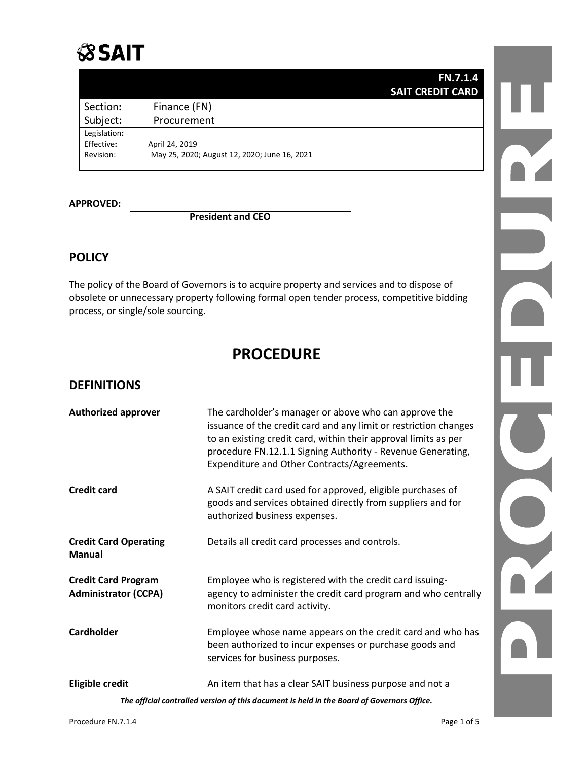# **SSAIT**

| <b>FN.7.1.4</b>         |
|-------------------------|
| <b>SAIT CREDIT CARD</b> |
|                         |

Legislation:<br>Effective:

Subject: Procurement

Section: Finance (FN)

Effective**:** April 24, 2019 Revision: May 25, 2020; August 12, 2020; June 16, 2021

**APPROVED:**

### **President and CEO**

## **POLICY**

The policy of the Board of Governors is to acquire property and services and to dispose of obsolete or unnecessary property following formal open tender process, competitive bidding process, or single/sole sourcing.

## **PROCEDURE**

## **DEFINITIONS**

| <b>Authorized approver</b>                                                                 | The cardholder's manager or above who can approve the<br>issuance of the credit card and any limit or restriction changes<br>to an existing credit card, within their approval limits as per<br>procedure FN.12.1.1 Signing Authority - Revenue Generating,<br>Expenditure and Other Contracts/Agreements. |  |
|--------------------------------------------------------------------------------------------|------------------------------------------------------------------------------------------------------------------------------------------------------------------------------------------------------------------------------------------------------------------------------------------------------------|--|
| Credit card                                                                                | A SAIT credit card used for approved, eligible purchases of<br>goods and services obtained directly from suppliers and for<br>authorized business expenses.                                                                                                                                                |  |
| <b>Credit Card Operating</b><br>Manual                                                     | Details all credit card processes and controls.                                                                                                                                                                                                                                                            |  |
| <b>Credit Card Program</b><br><b>Administrator (CCPA)</b>                                  | Employee who is registered with the credit card issuing-<br>agency to administer the credit card program and who centrally<br>monitors credit card activity.                                                                                                                                               |  |
| <b>Cardholder</b>                                                                          | Employee whose name appears on the credit card and who has<br>been authorized to incur expenses or purchase goods and<br>services for business purposes.                                                                                                                                                   |  |
| <b>Eligible credit</b>                                                                     | An item that has a clear SAIT business purpose and not a                                                                                                                                                                                                                                                   |  |
| The official controlled version of this document is held in the Board of Governors Office. |                                                                                                                                                                                                                                                                                                            |  |

DY.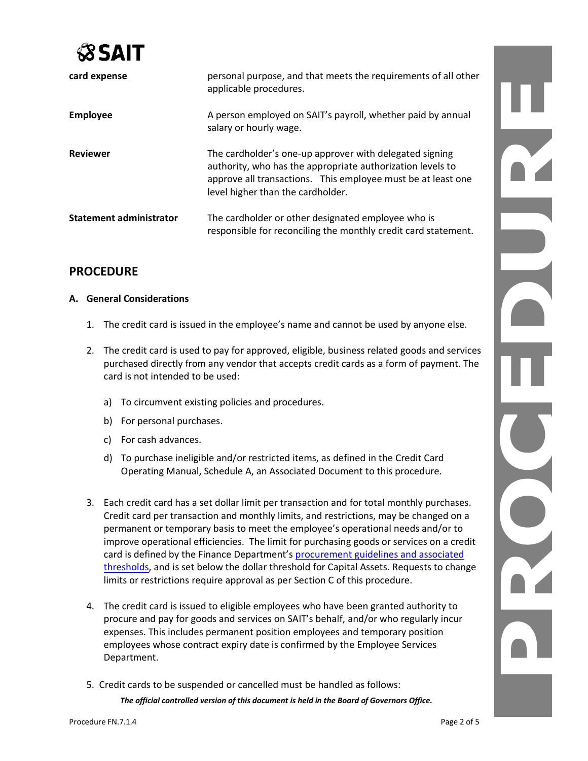

| card expense                   | personal purpose, and that meets the requirements of all other<br>applicable procedures.                                                                                                                                   |
|--------------------------------|----------------------------------------------------------------------------------------------------------------------------------------------------------------------------------------------------------------------------|
| <b>Employee</b>                | A person employed on SAIT's payroll, whether paid by annual<br>salary or hourly wage.                                                                                                                                      |
| <b>Reviewer</b>                | The cardholder's one-up approver with delegated signing<br>authority, who has the appropriate authorization levels to<br>approve all transactions. This employee must be at least one<br>level higher than the cardholder. |
| <b>Statement administrator</b> | The cardholder or other designated employee who is<br>responsible for reconciling the monthly credit card statement.                                                                                                       |

## **PROCEDURE**

#### **A. General Considerations**

- 1. The credit card is issued in the employee's name and cannot be used by anyone else.
- 2. The credit card is used to pay for approved, eligible, business related goods and services purchased directly from any vendor that accepts credit cards as a form of payment. The card is not intended to be used:
	- a) To circumvent existing policies and procedures.
	- b) For personal purchases.
	- c) For cash advances.
	- d) To purchase ineligible and/or restricted items, as defined in the Credit Card Operating Manual, Schedule A, an Associated Document to this procedure.
- 3. Each credit card has a set dollar limit per transaction and for total monthly purchases. Credit card per transaction and monthly limits, and restrictions, may be changed on a permanent or temporary basis to meet the employee's operational needs and/or to improve operational efficiencies. The limit for purchasing goods or services on a credit card is defined by the Finance Department's procurement guidelines and associated [thresholds,](https://www.saitnow.ca/departments-and-schools/corporate-services/finance/supply-management/approved-methods-of-purchase/) and is set below the dollar threshold for Capital Assets. Requests to change limits or restrictions require approval as per Section C of this procedure.
- 4. The credit card is issued to eligible employees who have been granted authority to procure and pay for goods and services on SAIT's behalf, and/or who regularly incur expenses. This includes permanent position employees and temporary position employees whose contract expiry date is confirmed by the Employee Services Department.
- 5. Credit cards to be suspended or cancelled must be handled as follows:

*The official controlled version of this document is held in the Board of Governors Office.*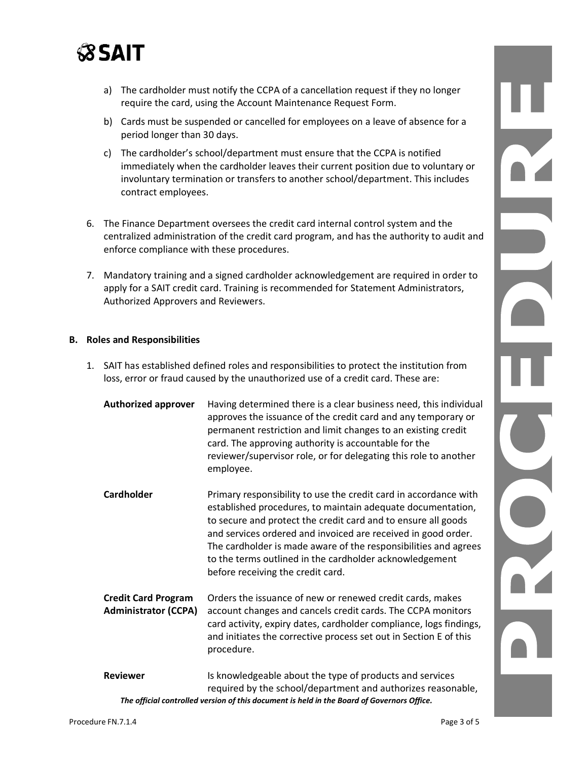

- a) The cardholder must notify the CCPA of a cancellation request if they no longer require the card, using the Account Maintenance Request Form.
- b) Cards must be suspended or cancelled for employees on a leave of absence for a period longer than 30 days.
- c) The cardholder's school/department must ensure that the CCPA is notified immediately when the cardholder leaves their current position due to voluntary or involuntary termination or transfers to another school/department. This includes contract employees.
- 6. The Finance Department oversees the credit card internal control system and the centralized administration of the credit card program, and has the authority to audit and enforce compliance with these procedures.
- 7. Mandatory training and a signed cardholder acknowledgement are required in order to apply for a SAIT credit card. Training is recommended for Statement Administrators, Authorized Approvers and Reviewers.

#### **B. Roles and Responsibilities**

- 1. SAIT has established defined roles and responsibilities to protect the institution from loss, error or fraud caused by the unauthorized use of a credit card. These are:
	- **Authorized approver** Having determined there is a clear business need, this individual approves the issuance of the credit card and any temporary or permanent restriction and limit changes to an existing credit card. The approving authority is accountable for the reviewer/supervisor role, or for delegating this role to another employee.
	- **Cardholder** Primary responsibility to use the credit card in accordance with established procedures, to maintain adequate documentation, to secure and protect the credit card and to ensure all goods and services ordered and invoiced are received in good order. The cardholder is made aware of the responsibilities and agrees to the terms outlined in the cardholder acknowledgement before receiving the credit card.
	- **Credit Card Program** Orders the issuance of new or renewed credit cards, makes **Administrator (CCPA)** account changes and cancels credit cards. The CCPA monitors card activity, expiry dates, cardholder compliance, logs findings, and initiates the corrective process set out in Section E of this procedure.
	- *The official controlled version of this document is held in the Board of Governors Office.* **Reviewer** Is knowledgeable about the type of products and services required by the school/department and authorizes reasonable,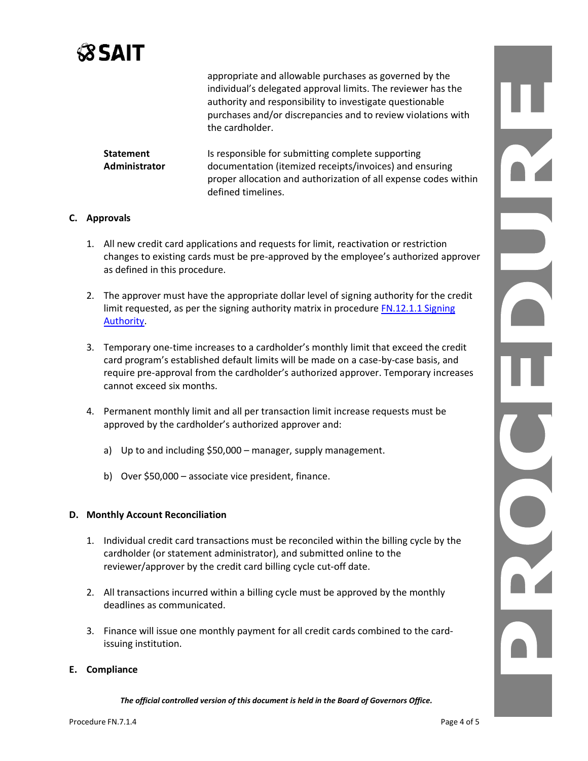

appropriate and allowable purchases as governed by the individual's delegated approval limits. The reviewer has the authority and responsibility to investigate questionable purchases and/or discrepancies and to review violations with the cardholder.

**Statement** Is responsible for submitting complete supporting **Administrator** documentation (itemized receipts/invoices) and ensuring proper allocation and authorization of all expense codes within defined timelines.

#### **C. Approvals**

- 1. All new credit card applications and requests for limit, reactivation or restriction changes to existing cards must be pre-approved by the employee's authorized approver as defined in this procedure.
- 2. The approver must have the appropriate dollar level of signing authority for the credit limit requested, as per the signing authority matrix in procedure [FN.12.1.1](https://www.sait.ca/assets/documents/about-sait/policies-and-procedures/finance/fn-12-1-1-signing-authority.pdf) Signing [Authority.](https://www.sait.ca/assets/documents/about-sait/policies-and-procedures/finance/fn-12-1-1-signing-authority.pdf)
- 3. Temporary one-time increases to a cardholder's monthly limit that exceed the credit card program's established default limits will be made on a case-by-case basis, and require pre-approval from the cardholder's authorized approver. Temporary increases cannot exceed six months.
- 4. Permanent monthly limit and all per transaction limit increase requests must be approved by the cardholder's authorized approver and:
	- a) Up to and including \$50,000 manager, supply management.
	- b) Over \$50,000 associate vice president, finance.

#### **D. Monthly Account Reconciliation**

- 1. Individual credit card transactions must be reconciled within the billing cycle by the cardholder (or statement administrator), and submitted online to the reviewer/approver by the credit card billing cycle cut-off date.
- 2. All transactions incurred within a billing cycle must be approved by the monthly deadlines as communicated.
- 3. Finance will issue one monthly payment for all credit cards combined to the cardissuing institution.

#### **E. Compliance**

*The official controlled version of this document is held in the Board of Governors Office.*